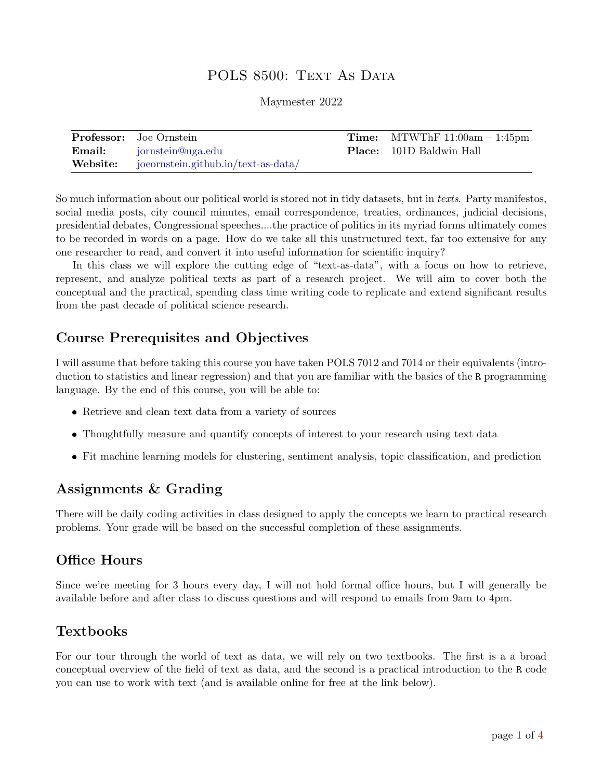# POLS 8500: TEXT AS DATA

Maymester 2022

| <b>Professor:</b> Joe Ornstein               | <b>Time:</b> MTWThF $11:00am - 1:45pm$ |
|----------------------------------------------|----------------------------------------|
| <b>Email:</b> jornstein@uga.edu              | <b>Place:</b> 101D Baldwin Hall        |
| Website: joeornstein.github.io/text-as-data/ |                                        |

So much information about our political world is stored not in tidy datasets, but in texts. Party manifestos, social media posts, city council minutes, email correspondence, treaties, ordinances, judicial decisions, presidential debates, Congressional speeches....the practice of politics in its myriad forms ultimately comes to be recorded in words on a page. How do we take all this unstructured text, far too extensive for any one researcher to read, and convert it into useful information for scientific inquiry?

In this class we will explore the cutting edge of "text-as-data", with a focus on how to retrieve, represent, and analyze political texts as part of a research project. We will aim to cover both the conceptual and the practical, spending class time writing code to replicate and extend significant results from the past decade of political science research.

# Course Prerequisites and Objectives

I will assume that before taking this course you have taken POLS 7012 and 7014 or their equivalents (introduction to statistics and linear regression) and that you are familiar with the basics of the R programming language. By the end of this course, you will be able to:

- Retrieve and clean text data from a variety of sources
- Thoughtfully measure and quantify concepts of interest to your research using text data
- Fit machine learning models for clustering, sentiment analysis, topic classification, and prediction

# Assignments & Grading

There will be daily coding activities in class designed to apply the concepts we learn to practical research problems. Your grade will be based on the successful completion of these assignments.

## Office Hours

Since we're meeting for 3 hours every day, I will not hold formal office hours, but I will generally be available before and after class to discuss questions and will respond to emails from 9am to 4pm.

# Textbooks

For our tour through the world of text as data, we will rely on two textbooks. The first is a a broad conceptual overview of the field of text as data, and the second is a practical introduction to the R code you can use to work with text (and is available online for free at the link below).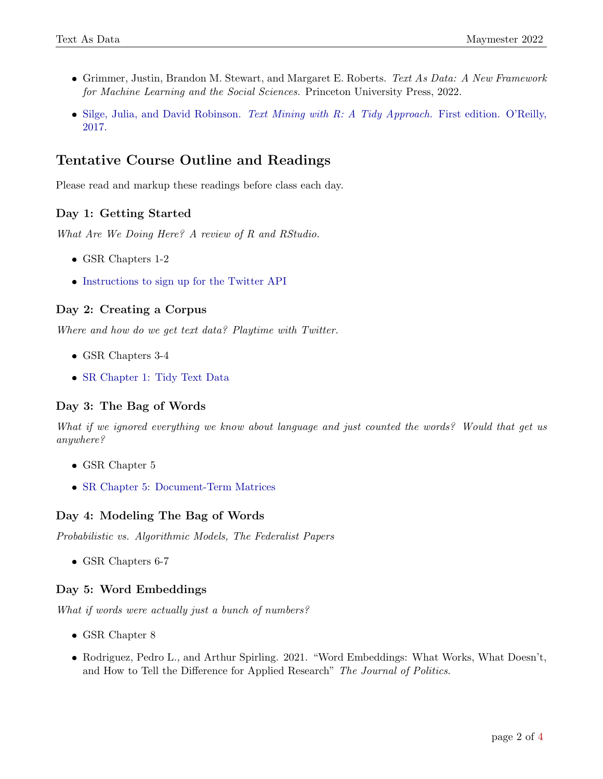- Grimmer, Justin, Brandon M. Stewart, and Margaret E. Roberts. Text As Data: A New Framework for Machine Learning and the Social Sciences. Princeton University Press, 2022.
- Silge, Julia, and David Robinson. [Text Mining with R: A Tidy Approach.](https://www.tidytextmining.com/index.html) First edition. O'Reilly, [2017.](https://www.tidytextmining.com/index.html)

# Tentative Course Outline and Readings

Please read and markup these readings before class each day.

## Day 1: Getting Started

What Are We Doing Here? A review of R and RStudio.

- GSR Chapters 1-2
- [Instructions to sign up for the Twitter API](https://joeornstein.github.io/pols-3230/week-11.html#getting-twitter-data)

### Day 2: Creating a Corpus

Where and how do we get text data? Playtime with Twitter.

- GSR Chapters 3-4
- [SR Chapter 1: Tidy Text Data](https://www.tidytextmining.com/tidytext.html)

### Day 3: The Bag of Words

What if we ignored everything we know about language and just counted the words? Would that get us anywhere?

- GSR Chapter 5
- [SR Chapter 5: Document-Term Matrices](https://www.tidytextmining.com/dtm.html)

### Day 4: Modeling The Bag of Words

Probabilistic vs. Algorithmic Models, The Federalist Papers

• GSR Chapters 6-7

## Day 5: Word Embeddings

What if words were actually just a bunch of numbers?

- GSR Chapter 8
- Rodriguez, Pedro L., and Arthur Spirling. 2021. "Word Embeddings: What Works, What Doesn't, and How to Tell the Difference for Applied Research" The Journal of Politics.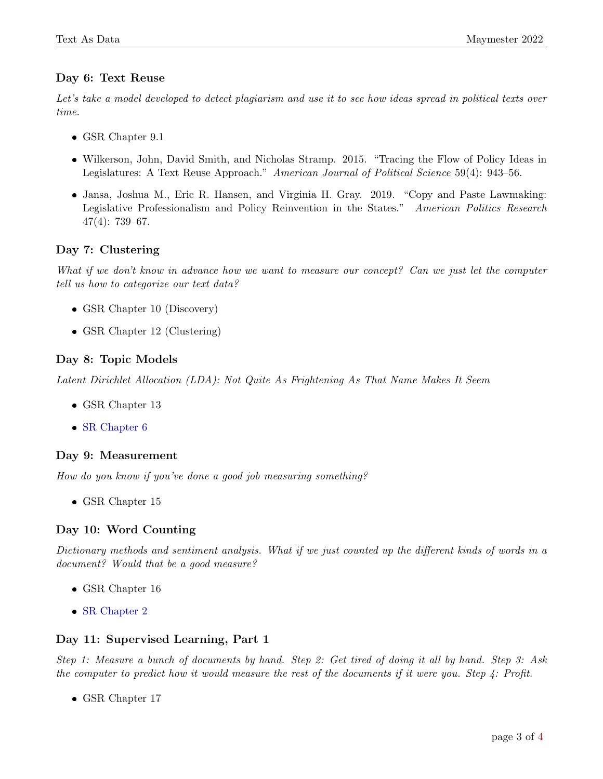### Day 6: Text Reuse

Let's take a model developed to detect plagiarism and use it to see how ideas spread in political texts over time.

- GSR Chapter 9.1
- Wilkerson, John, David Smith, and Nicholas Stramp. 2015. "Tracing the Flow of Policy Ideas in Legislatures: A Text Reuse Approach." American Journal of Political Science 59(4): 943–56.
- Jansa, Joshua M., Eric R. Hansen, and Virginia H. Gray. 2019. "Copy and Paste Lawmaking: Legislative Professionalism and Policy Reinvention in the States." American Politics Research 47(4): 739–67.

### Day 7: Clustering

What if we don't know in advance how we want to measure our concept? Can we just let the computer tell us how to categorize our text data?

- GSR Chapter 10 (Discovery)
- GSR Chapter 12 (Clustering)

### Day 8: Topic Models

Latent Dirichlet Allocation (LDA): Not Quite As Frightening As That Name Makes It Seem

- GSR Chapter 13
- [SR Chapter 6](https://www.tidytextmining.com/topicmodeling.html)

#### Day 9: Measurement

How do you know if you've done a good job measuring something?

• GSR Chapter 15

#### Day 10: Word Counting

Dictionary methods and sentiment analysis. What if we just counted up the different kinds of words in a document? Would that be a good measure?

- GSR Chapter 16
- [SR Chapter 2](https://www.tidytextmining.com/sentiment.html)

#### Day 11: Supervised Learning, Part 1

Step 1: Measure a bunch of documents by hand. Step 2: Get tired of doing it all by hand. Step 3: Ask the computer to predict how it would measure the rest of the documents if it were you. Step  $\ddot{A}$ : Profit.

• GSR Chapter 17